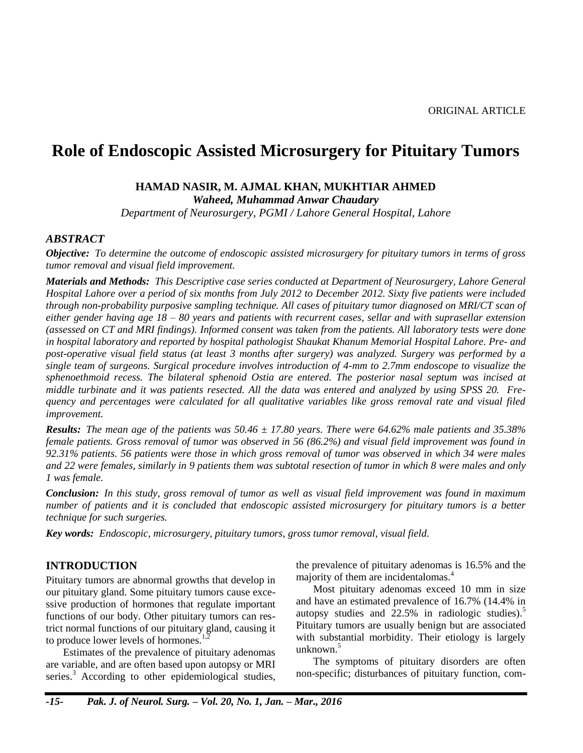# **Role of Endoscopic Assisted Microsurgery for Pituitary Tumors**

### **HAMAD NASIR, M. AJMAL KHAN, MUKHTIAR AHMED**

*Waheed, Muhammad Anwar Chaudary*

*Department of Neurosurgery, PGMI / Lahore General Hospital, Lahore*

### *ABSTRACT*

*Objective: To determine the outcome of endoscopic assisted microsurgery for pituitary tumors in terms of gross tumor removal and visual field improvement.*

*Materials and Methods: This Descriptive case series conducted at Department of Neurosurgery, Lahore General Hospital Lahore over a period of six months from July 2012 to December 2012. Sixty five patients were included through non-probability purposive sampling technique. All cases of pituitary tumor diagnosed on MRI/CT scan of either gender having age 18 – 80 years and patients with recurrent cases, sellar and with suprasellar extension (assessed on CT and MRI findings). Informed consent was taken from the patients. All laboratory tests were done in hospital laboratory and reported by hospital pathologist Shaukat Khanum Memorial Hospital Lahore. Pre- and post-operative visual field status (at least 3 months after surgery) was analyzed. Surgery was performed by a single team of surgeons. Surgical procedure involves introduction of 4-mm to 2.7mm endoscope to visualize the sphenoethmoid recess. The bilateral sphenoid Ostia are entered. The posterior nasal septum was incised at middle turbinate and it was patients resected. All the data was entered and analyzed by using SPSS 20. Frequency and percentages were calculated for all qualitative variables like gross removal rate and visual filed improvement.*

*Results: The mean age of the patients was 50.46 ± 17.80 years. There were 64.62% male patients and 35.38% female patients. Gross removal of tumor was observed in 56 (86.2%) and visual field improvement was found in 92.31% patients. 56 patients were those in which gross removal of tumor was observed in which 34 were males and 22 were females, similarly in 9 patients them was subtotal resection of tumor in which 8 were males and only 1 was female.*

*Conclusion: In this study, gross removal of tumor as well as visual field improvement was found in maximum number of patients and it is concluded that endoscopic assisted microsurgery for pituitary tumors is a better technique for such surgeries.*

*Key words: Endoscopic, microsurgery, pituitary tumors, gross tumor removal, visual field.*

### **INTRODUCTION**

Pituitary tumors are abnormal growths that develop in our pituitary gland. Some pituitary tumors cause excessive production of hormones that regulate important functions of our body. Other pituitary tumors can restrict normal functions of our pituitary gland, causing it to produce lower levels of hormones.<sup>1</sup>

Estimates of the prevalence of pituitary adenomas are variable, and are often based upon autopsy or MRI series.<sup>3</sup> According to other epidemiological studies, the prevalence of pituitary adenomas is 16.5% and the majority of them are incidentalomas.<sup>4</sup>

Most pituitary adenomas exceed 10 mm in size and have an estimated prevalence of 16.7% (14.4% in autopsy studies and  $22.5\%$  $22.5\%$  $22.5\%$  in radiologic studies).<sup>5</sup> Pituitary tumors are usually benign but are associated with substantial morbidity. Their etiology is largely unknown. $5$ 

The symptoms of pituitary disorders are often non-specific; disturbances of pituitary function, com-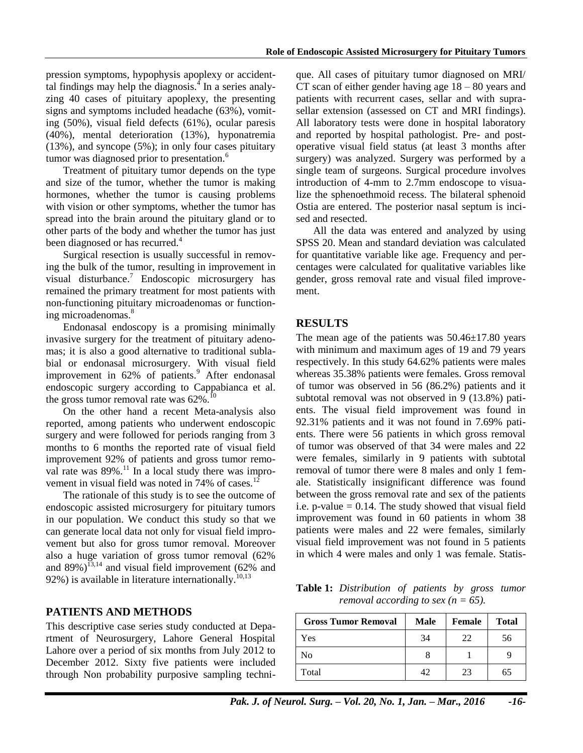pression symptoms, hypophysis apoplexy or accidenttal findings may help the diagnosis. $\frac{1}{4}$  In a series analyzing 40 cases of pituitary apoplexy, the presenting signs and symptoms included headache (63%), vomiting (50%), visual field defects (61%), ocular paresis (40%), mental deterioration (13%), hyponatremia (13%), and syncope (5%); in only four cases pituitary tumor was diagnosed prior to presentation.<sup>6</sup>

Treatment of pituitary tumor depends on the type and size of the tumor, whether the tumor is making hormones, whether the tumor is causing problems with vision or other symptoms, whether the tumor has spread into the brain around the pituitary gland or to other parts of the body and whether the tumor has just been diagnosed or has recurred.<sup>4</sup>

Surgical resection is usually successful in removing the bulk of the tumor, resulting in improvement in visual disturbance.<sup>7</sup> Endoscopic microsurgery has remained the primary treatment for most patients with non-functioning pituitary microadenomas or functioning microadenomas.<sup>8</sup>

Endonasal endoscopy is a promising minimally invasive surgery for the treatment of pituitary adenomas; it is also a good alternative to traditional sublabial or endonasal microsurgery. With visual field improvement in 62% of patients.<sup>9</sup> After endonasal endoscopic surgery according to Cappabianca et al. the gross tumor removal rate was  $62\%$ .

On the other hand a recent Meta-analysis also reported, among patients who underwent endoscopic surgery and were followed for periods ranging from 3 months to 6 months the reported rate of visual field improvement 92% of patients and gross tumor removal rate was  $89\%$ .<sup>11</sup> In a local study there was improvement in visual field was noted in  $74\%$  of cases.<sup>12</sup>

The rationale of this study is to see the outcome of endoscopic assisted microsurgery for pituitary tumors in our population. We conduct this study so that we can generate local data not only for visual field improvement but also for gross tumor removal. Moreover also a huge variation of gross tumor removal (62% and  $89\%$ )<sup>13,14</sup> and visual field improvement (62% and 92%) is available in literature internationally.<sup>10,13</sup>

## **PATIENTS AND METHODS**

This descriptive case series study conducted at Department of Neurosurgery, Lahore General Hospital Lahore over a period of six months from July 2012 to December 2012. Sixty five patients were included through Non probability purposive sampling techni-

que. All cases of pituitary tumor diagnosed on MRI/ CT scan of either gender having age 18 – 80 years and patients with recurrent cases, sellar and with suprasellar extension (assessed on CT and MRI findings). All laboratory tests were done in hospital laboratory and reported by hospital pathologist. Pre- and postoperative visual field status (at least 3 months after surgery) was analyzed. Surgery was performed by a single team of surgeons. Surgical procedure involves introduction of 4-mm to 2.7mm endoscope to visualize the sphenoethmoid recess. The bilateral sphenoid Ostia are entered. The posterior nasal septum is incised and resected.

All the data was entered and analyzed by using SPSS 20. Mean and standard deviation was calculated for quantitative variable like age. Frequency and percentages were calculated for qualitative variables like gender, gross removal rate and visual filed improvement.

## **RESULTS**

The mean age of the patients was  $50.46 \pm 17.80$  years with minimum and maximum ages of 19 and 79 years respectively. In this study 64.62% patients were males whereas 35.38% patients were females. Gross removal of tumor was observed in 56 (86.2%) patients and it subtotal removal was not observed in 9 (13.8%) patients. The visual field improvement was found in 92.31% patients and it was not found in 7.69% patients. There were 56 patients in which gross removal of tumor was observed of that 34 were males and 22 were females, similarly in 9 patients with subtotal removal of tumor there were 8 males and only 1 female. Statistically insignificant difference was found between the gross removal rate and sex of the patients i.e. p-value  $= 0.14$ . The study showed that visual field improvement was found in 60 patients in whom 38 patients were males and 22 were females, similarly visual field improvement was not found in 5 patients in which 4 were males and only 1 was female. Statis-

**Table 1:** *Distribution of patients by gross tumor removal according to sex (n = 65).* 

| <b>Gross Tumor Removal</b> | <b>Male</b> | <b>Female</b> | <b>Total</b> |
|----------------------------|-------------|---------------|--------------|
| Yes                        | 34          | 22            | 56           |
| No                         |             |               |              |
| Total                      | 42          | 23            | 65           |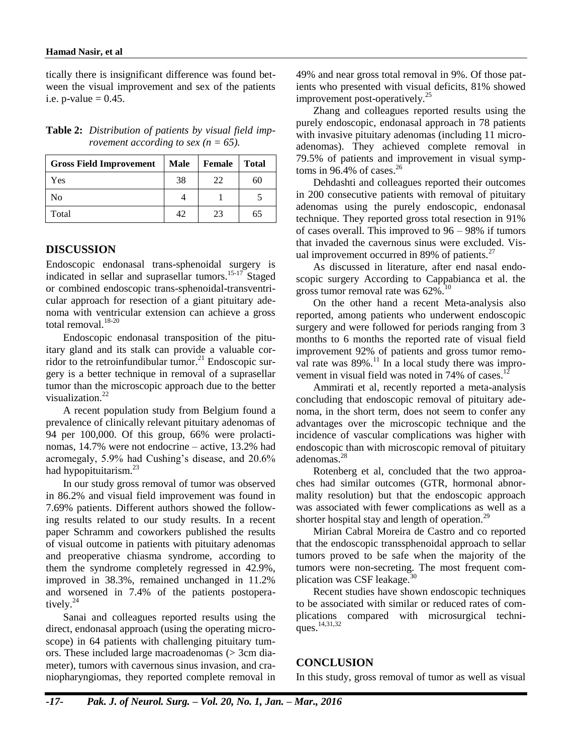tically there is insignificant difference was found between the visual improvement and sex of the patients i.e.  $p$ -value = 0.45.

| <b>Gross Field Improvement</b> | <b>Male</b> | Female | <b>Total</b> |
|--------------------------------|-------------|--------|--------------|
| Yes                            | 38          | 22     | 60           |
| No                             |             |        |              |
| Total                          | 42          | 23     | 65           |

**Table 2:** *Distribution of patients by visual field improvement according to sex (* $n = 65$ *).* 

## **DISCUSSION**

Endoscopic endonasal trans-sphenoidal surgery is indicated in sellar and suprasellar tumors.<sup>15-17</sup> Staged or combined endoscopic trans-sphenoidal-transventricular approach for resection of a giant pituitary adenoma with ventricular extension can achieve a gross total removal.<sup>18-20</sup>

Endoscopic endonasal transposition of the pituitary gland and its stalk can provide a valuable corridor to the retroinfundibular tumor.<sup>21</sup> Endoscopic surgery is a better technique in removal of a suprasellar tumor than the microscopic approach due to the better visualization.<sup>22</sup>

A recent population study from Belgium found a prevalence of clinically relevant pituitary adenomas of 94 per 100,000. Of this group, 66% were prolactinomas, 14.7% were not endocrine – active, 13.2% had acromegaly, 5.9% had Cushing's disease, and 20.6% had hypopituitarism.<sup>23</sup>

In our study gross removal of tumor was observed in 86.2% and visual field improvement was found in 7.69% patients. Different authors showed the following results related to our study results. In a recent paper Schramm and coworkers published the results of visual outcome in patients with pituitary adenomas and preoperative chiasma syndrome, according to them the syndrome completely regressed in 42.9%, improved in 38.3%, remained unchanged in 11.2% and worsened in 7.4% of the patients postoperatively. $^{24}$ 

Sanai and colleagues reported results using the direct, endonasal approach (using the operating microscope) in 64 patients with challenging pituitary tumors. These included large macroadenomas (> 3cm diameter), tumors with cavernous sinus invasion, and craniopharyngiomas, they reported complete removal in

49% and near gross total removal in 9%. Of those patients who presented with visual deficits, 81% showed improvement post-operatively.<sup>25</sup>

Zhang and colleagues reported results using the purely endoscopic, endonasal approach in 78 patients with invasive pituitary adenomas (including 11 microadenomas). They achieved complete removal in 79.5% of patients and improvement in visual symptoms in  $96.4\%$  of cases.<sup>26</sup>

Dehdashti and colleagues reported their outcomes in 200 consecutive patients with removal of pituitary adenomas using the purely endoscopic, endonasal technique. They reported gross total resection in 91% of cases overall. This improved to 96 – 98% if tumors that invaded the cavernous sinus were excluded. Visual improvement occurred in 89% of patients. $27$ 

As discussed in literature, after end nasal endoscopic surgery According to Cappabianca et al. the gross tumor removal rate was  $62\%$ .<sup>10</sup>

On the other hand a recent Meta-analysis also reported, among patients who underwent endoscopic surgery and were followed for periods ranging from 3 months to 6 months the reported rate of visual field improvement 92% of patients and gross tumor removal rate was  $89\%$ .<sup>11</sup> In a local study there was improvement in visual field was noted in  $74\%$  of cases.<sup>12</sup>

Ammirati et al, recently reported a meta-analysis concluding that endoscopic removal of pituitary adenoma, in the short term, does not seem to confer any advantages over the microscopic technique and the incidence of vascular complications was higher with endoscopic than with microscopic removal of pituitary adenomas.<sup>28</sup>

Rotenberg et al, concluded that the two approaches had similar outcomes (GTR, hormonal abnormality resolution) but that the endoscopic approach was associated with fewer complications as well as a shorter hospital stay and length of operation.<sup>29</sup>

Mirian Cabral Moreira de Castro and co reported that the endoscopic transsphenoidal approach to sellar tumors proved to be safe when the majority of the tumors were non-secreting. The most frequent complication was CSF leakage.<sup>3</sup>

Recent studies have shown endoscopic techniques to be associated with similar or reduced rates of complications compared with microsurgical techniques.<sup>14,31,32</sup>

## **CONCLUSION**

In this study, gross removal of tumor as well as visual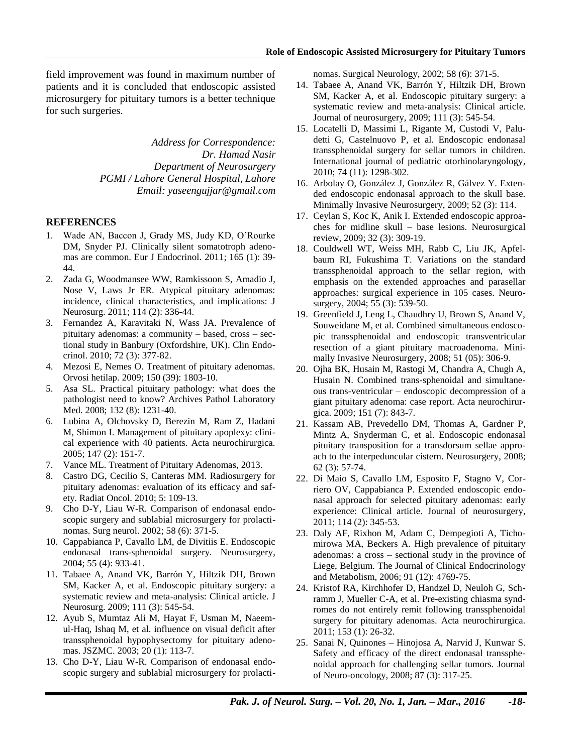field improvement was found in maximum number of patients and it is concluded that endoscopic assisted microsurgery for pituitary tumors is a better technique for such surgeries.

> *Address for Correspondence: Dr. Hamad Nasir Department of Neurosurgery PGMI / Lahore General Hospital, Lahore Email: yaseengujjar@gmail.com*

### **REFERENCES**

- 1. Wade AN, Baccon J, Grady MS, Judy KD, O'Rourke DM, Snyder PJ. Clinically silent somatotroph adenomas are common. Eur J Endocrinol. 2011; 165 (1): 39- 44.
- 2. Zada G, Woodmansee WW, Ramkissoon S, Amadio J, Nose V, Laws Jr ER. Atypical pituitary adenomas: incidence, clinical characteristics, and implications: J Neurosurg. 2011; 114 (2): 336-44.
- 3. Fernandez A, Karavitaki N, Wass JA. Prevalence of pituitary adenomas: a community – based, cross – sectional study in Banbury (Oxfordshire, UK). Clin Endocrinol. 2010; 72 (3): 377-82.
- 4. Mezosi E, Nemes O. Treatment of pituitary adenomas. Orvosi hetilap. 2009; 150 (39): 1803-10.
- <span id="page-3-0"></span>5. Asa SL. Practical pituitary pathology: what does the pathologist need to know? Archives Pathol Laboratory Med. 2008; 132 (8): 1231-40.
- 6. Lubina A, Olchovsky D, Berezin M, Ram Z, Hadani M, Shimon I. Management of pituitary apoplexy: clinical experience with 40 patients. Acta neurochirurgica. 2005; 147 (2): 151-7.
- 7. Vance ML. Treatment of Pituitary Adenomas, 2013.
- 8. Castro DG, Cecilio S, Canteras MM. Radiosurgery for pituitary adenomas: evaluation of its efficacy and safety. Radiat Oncol. 2010; 5: 109-13.
- 9. Cho D-Y, Liau W-R. Comparison of endonasal endoscopic surgery and sublabial microsurgery for prolactinomas. Surg neurol. 2002; 58 (6): 371-5.
- 10. Cappabianca P, Cavallo LM, de Divitiis E. Endoscopic endonasal trans-sphenoidal surgery. Neurosurgery, 2004; 55 (4): 933-41.
- 11. Tabaee A, Anand VK, Barrón Y, Hiltzik DH, Brown SM, Kacker A, et al. Endoscopic pituitary surgery: a systematic review and meta-analysis: Clinical article. J Neurosurg. 2009; 111 (3): 545-54.
- 12. Ayub S, Mumtaz Ali M, Hayat F, Usman M, Naeemul-Haq, Ishaq M, et al. influence on visual deficit after transsphenoidal hypophysectomy for pituitary adenomas. JSZMC. 2003; 20 (1): 113-7.
- 13. Cho D-Y, Liau W-R. Comparison of endonasal endoscopic surgery and sublabial microsurgery for prolacti-

nomas. Surgical Neurology, 2002; 58 (6): 371-5.

- 14. Tabaee A, Anand VK, Barrón Y, Hiltzik DH, Brown SM, Kacker A, et al. Endoscopic pituitary surgery: a systematic review and meta-analysis: Clinical article. Journal of neurosurgery, 2009; 111 (3): 545-54.
- 15. Locatelli D, Massimi L, Rigante M, Custodi V, Paludetti G, Castelnuovo P, et al. Endoscopic endonasal transsphenoidal surgery for sellar tumors in children. International journal of pediatric otorhinolaryngology, 2010; 74 (11): 1298-302.
- 16. Arbolay O, González J, González R, Gálvez Y. Extended endoscopic endonasal approach to the skull base. Minimally Invasive Neurosurgery, 2009; 52 (3): 114.
- 17. Ceylan S, Koc K, Anik I. Extended endoscopic approaches for midline skull – base lesions. Neurosurgical review, 2009; 32 (3): 309-19.
- 18. Couldwell WT, Weiss MH, Rabb C, Liu JK, Apfelbaum RI, Fukushima T. Variations on the standard transsphenoidal approach to the sellar region, with emphasis on the extended approaches and parasellar approaches: surgical experience in 105 cases. Neurosurgery, 2004; 55 (3): 539-50.
- 19. Greenfield J, Leng L, Chaudhry U, Brown S, Anand V, Souweidane M, et al. Combined simultaneous endoscopic transsphenoidal and endoscopic transventricular resection of a giant pituitary macroadenoma. Minimally Invasive Neurosurgery, 2008; 51 (05): 306-9.
- 20. Ojha BK, Husain M, Rastogi M, Chandra A, Chugh A, Husain N. Combined trans-sphenoidal and simultaneous trans-ventricular – endoscopic decompression of a giant pituitary adenoma: case report. Acta neurochirurgica. 2009; 151 (7): 843-7.
- 21. Kassam AB, Prevedello DM, Thomas A, Gardner P, Mintz A, Snyderman C, et al. Endoscopic endonasal pituitary transposition for a transdorsum sellae approach to the interpeduncular cistern. Neurosurgery, 2008; 62 (3): 57-74.
- 22. Di Maio S, Cavallo LM, Esposito F, Stagno V, Corriero OV, Cappabianca P. Extended endoscopic endonasal approach for selected pituitary adenomas: early experience: Clinical article. Journal of neurosurgery, 2011; 114 (2): 345-53.
- 23. Daly AF, Rixhon M, Adam C, Dempegioti A, Tichomirowa MA, Beckers A. High prevalence of pituitary adenomas: a cross – sectional study in the province of Liege, Belgium. The Journal of Clinical Endocrinology and Metabolism, 2006; 91 (12): 4769-75.
- 24. Kristof RA, Kirchhofer D, Handzel D, Neuloh G, Schramm J, Mueller C-A, et al. Pre-existing chiasma syndromes do not entirely remit following transsphenoidal surgery for pituitary adenomas. Acta neurochirurgica. 2011; 153 (1): 26-32.
- 25. Sanai N, Quinones Hinojosa A, Narvid J, Kunwar S. Safety and efficacy of the direct endonasal transsphenoidal approach for challenging sellar tumors. Journal of Neuro-oncology, 2008; 87 (3): 317-25.